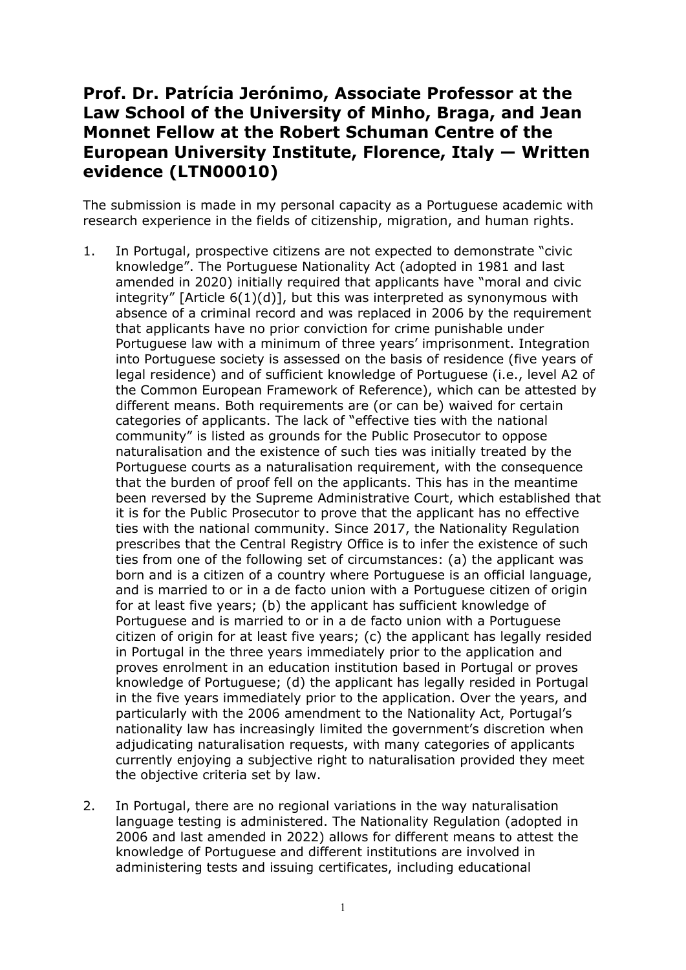## **Prof. Dr. Patrícia Jerónimo, Associate Professor at the Law School of the University of Minho, Braga, and Jean Monnet Fellow at the Robert Schuman Centre of the European University Institute, Florence, Italy — Written evidence (LTN00010)**

The submission is made in my personal capacity as a Portuguese academic with research experience in the fields of citizenship, migration, and human rights.

- 1. In Portugal, prospective citizens are not expected to demonstrate "civic knowledge". The Portuguese Nationality Act (adopted in 1981 and last amended in 2020) initially required that applicants have "moral and civic integrity" [Article 6(1)(d)], but this was interpreted as synonymous with absence of a criminal record and was replaced in 2006 by the requirement that applicants have no prior conviction for crime punishable under Portuguese law with a minimum of three years' imprisonment. Integration into Portuguese society is assessed on the basis of residence (five years of legal residence) and of sufficient knowledge of Portuguese (i.e., level A2 of the Common European Framework of Reference), which can be attested by different means. Both requirements are (or can be) waived for certain categories of applicants. The lack of "effective ties with the national community" is listed as grounds for the Public Prosecutor to oppose naturalisation and the existence of such ties was initially treated by the Portuguese courts as a naturalisation requirement, with the consequence that the burden of proof fell on the applicants. This has in the meantime been reversed by the Supreme Administrative Court, which established that it is for the Public Prosecutor to prove that the applicant has no effective ties with the national community. Since 2017, the Nationality Regulation prescribes that the Central Registry Office is to infer the existence of such ties from one of the following set of circumstances: (a) the applicant was born and is a citizen of a country where Portuguese is an official language, and is married to or in a de facto union with a Portuguese citizen of origin for at least five years; (b) the applicant has sufficient knowledge of Portuguese and is married to or in a de facto union with a Portuguese citizen of origin for at least five years; (c) the applicant has legally resided in Portugal in the three years immediately prior to the application and proves enrolment in an education institution based in Portugal or proves knowledge of Portuguese; (d) the applicant has legally resided in Portugal in the five years immediately prior to the application. Over the years, and particularly with the 2006 amendment to the Nationality Act, Portugal's nationality law has increasingly limited the government's discretion when adjudicating naturalisation requests, with many categories of applicants currently enjoying a subjective right to naturalisation provided they meet the objective criteria set by law.
- 2. In Portugal, there are no regional variations in the way naturalisation language testing is administered. The Nationality Regulation (adopted in 2006 and last amended in 2022) allows for different means to attest the knowledge of Portuguese and different institutions are involved in administering tests and issuing certificates, including educational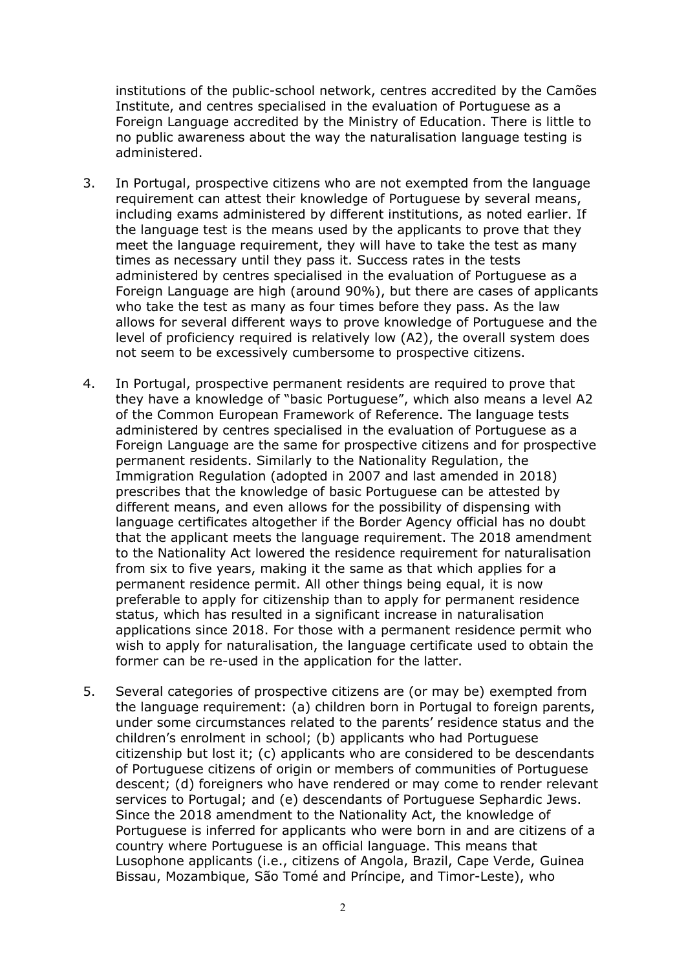institutions of the public-school network, centres accredited by the Camões Institute, and centres specialised in the evaluation of Portuguese as a Foreign Language accredited by the Ministry of Education. There is little to no public awareness about the way the naturalisation language testing is administered.

- 3. In Portugal, prospective citizens who are not exempted from the language requirement can attest their knowledge of Portuguese by several means, including exams administered by different institutions, as noted earlier. If the language test is the means used by the applicants to prove that they meet the language requirement, they will have to take the test as many times as necessary until they pass it. Success rates in the tests administered by centres specialised in the evaluation of Portuguese as a Foreign Language are high (around 90%), but there are cases of applicants who take the test as many as four times before they pass. As the law allows for several different ways to prove knowledge of Portuguese and the level of proficiency required is relatively low (A2), the overall system does not seem to be excessively cumbersome to prospective citizens.
- 4. In Portugal, prospective permanent residents are required to prove that they have a knowledge of "basic Portuguese", which also means a level A2 of the Common European Framework of Reference. The language tests administered by centres specialised in the evaluation of Portuguese as a Foreign Language are the same for prospective citizens and for prospective permanent residents. Similarly to the Nationality Regulation, the Immigration Regulation (adopted in 2007 and last amended in 2018) prescribes that the knowledge of basic Portuguese can be attested by different means, and even allows for the possibility of dispensing with language certificates altogether if the Border Agency official has no doubt that the applicant meets the language requirement. The 2018 amendment to the Nationality Act lowered the residence requirement for naturalisation from six to five years, making it the same as that which applies for a permanent residence permit. All other things being equal, it is now preferable to apply for citizenship than to apply for permanent residence status, which has resulted in a significant increase in naturalisation applications since 2018. For those with a permanent residence permit who wish to apply for naturalisation, the language certificate used to obtain the former can be re-used in the application for the latter.
- 5. Several categories of prospective citizens are (or may be) exempted from the language requirement: (a) children born in Portugal to foreign parents, under some circumstances related to the parents' residence status and the children's enrolment in school; (b) applicants who had Portuguese citizenship but lost it; (c) applicants who are considered to be descendants of Portuguese citizens of origin or members of communities of Portuguese descent; (d) foreigners who have rendered or may come to render relevant services to Portugal; and (e) descendants of Portuguese Sephardic Jews. Since the 2018 amendment to the Nationality Act, the knowledge of Portuguese is inferred for applicants who were born in and are citizens of a country where Portuguese is an official language. This means that Lusophone applicants (i.e., citizens of Angola, Brazil, Cape Verde, Guinea Bissau, Mozambique, São Tomé and Príncipe, and Timor-Leste), who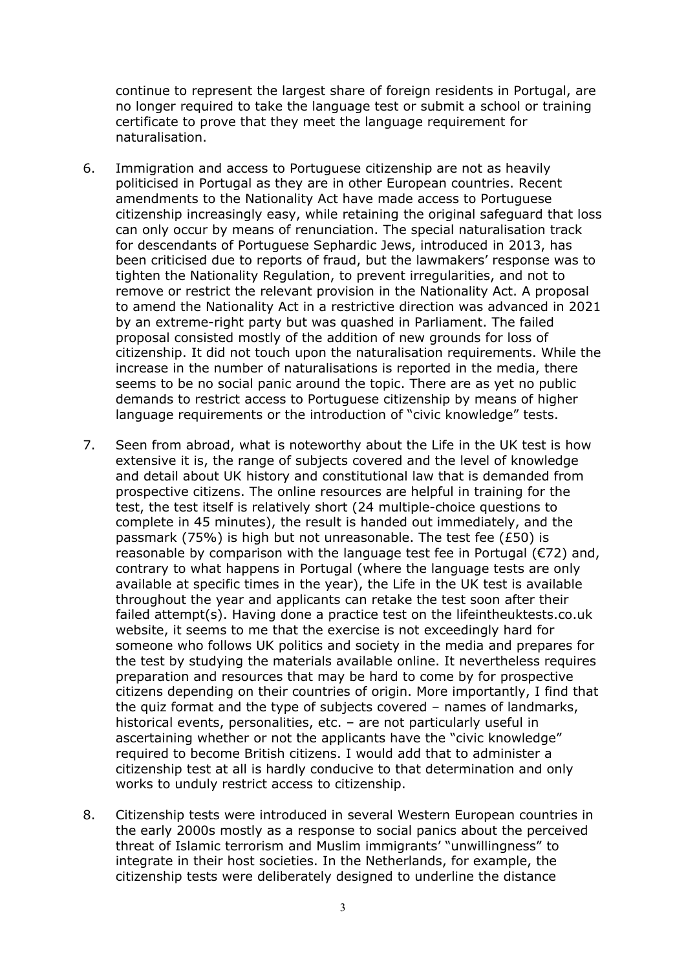continue to represent the largest share of foreign residents in Portugal, are no longer required to take the language test or submit a school or training certificate to prove that they meet the language requirement for naturalisation.

- 6. Immigration and access to Portuguese citizenship are not as heavily politicised in Portugal as they are in other European countries. Recent amendments to the Nationality Act have made access to Portuguese citizenship increasingly easy, while retaining the original safeguard that loss can only occur by means of renunciation. The special naturalisation track for descendants of Portuguese Sephardic Jews, introduced in 2013, has been criticised due to reports of fraud, but the lawmakers' response was to tighten the Nationality Regulation, to prevent irregularities, and not to remove or restrict the relevant provision in the Nationality Act. A proposal to amend the Nationality Act in a restrictive direction was advanced in 2021 by an extreme-right party but was quashed in Parliament. The failed proposal consisted mostly of the addition of new grounds for loss of citizenship. It did not touch upon the naturalisation requirements. While the increase in the number of naturalisations is reported in the media, there seems to be no social panic around the topic. There are as yet no public demands to restrict access to Portuguese citizenship by means of higher language requirements or the introduction of "civic knowledge" tests.
- 7. Seen from abroad, what is noteworthy about the Life in the UK test is how extensive it is, the range of subjects covered and the level of knowledge and detail about UK history and constitutional law that is demanded from prospective citizens. The online resources are helpful in training for the test, the test itself is relatively short (24 multiple-choice questions to complete in 45 minutes), the result is handed out immediately, and the passmark (75%) is high but not unreasonable. The test fee (£50) is reasonable by comparison with the language test fee in Portugal (€72) and, contrary to what happens in Portugal (where the language tests are only available at specific times in the year), the Life in the UK test is available throughout the year and applicants can retake the test soon after their failed attempt(s). Having done a practice test on the lifeintheuktests.co.uk website, it seems to me that the exercise is not exceedingly hard for someone who follows UK politics and society in the media and prepares for the test by studying the materials available online. It nevertheless requires preparation and resources that may be hard to come by for prospective citizens depending on their countries of origin. More importantly, I find that the quiz format and the type of subjects covered – names of landmarks, historical events, personalities, etc. - are not particularly useful in ascertaining whether or not the applicants have the "civic knowledge" required to become British citizens. I would add that to administer a citizenship test at all is hardly conducive to that determination and only works to unduly restrict access to citizenship.
- 8. Citizenship tests were introduced in several Western European countries in the early 2000s mostly as a response to social panics about the perceived threat of Islamic terrorism and Muslim immigrants' "unwillingness" to integrate in their host societies. In the Netherlands, for example, the citizenship tests were deliberately designed to underline the distance